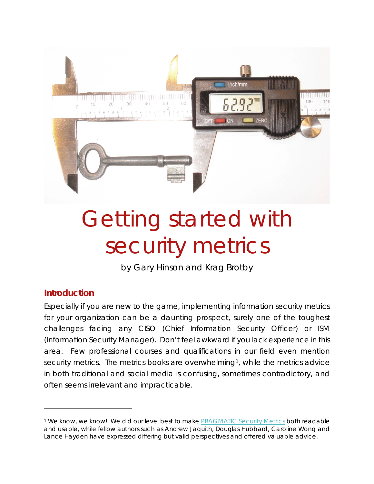

# Getting started with security metrics

by Gary Hinson and Krag Brotby

#### **Introduction**

 $\overline{a}$ 

Especially if you are new to the game, implementing information security metrics for your organization can be a daunting prospect, surely one of the toughest challenges facing any CISO (Chief Information Security Officer) or ISM (Information Security Manager). Don't feel awkward if you lack experience in this area. Few professional courses and qualifications in our field even mention security metrics. The metrics books are overwhelming<sup>[1](#page-0-0)</sup>, while the metrics advice in both traditional and social media is confusing, sometimes contradictory, and often seems irrelevant and impracticable.

<span id="page-0-0"></span><sup>1</sup> We know, we know! We did our level best to make [PRAGMATIC Security Metrics](http://www.securitymetametrics.com/) both readable and usable, while fellow authors such as Andrew Jaquith, Douglas Hubbard, Caroline Wong and Lance Hayden have expressed differing but valid perspectives and offered valuable advice.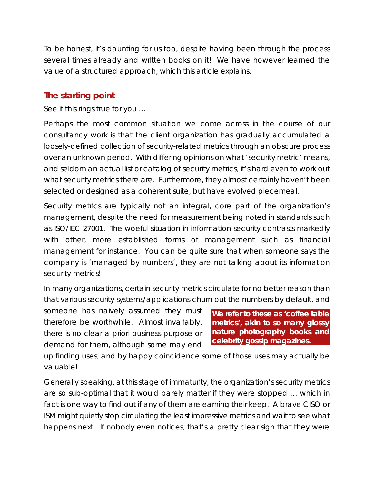To be honest, it's daunting for us too, despite having been through the process several times already and written books on it! We have however learned the value of a structured approach, which this article explains.

## **The starting point**

See if this rings true for you …

Perhaps the most common situation we come across in the course of our consultancy work is that the client organization has gradually accumulated a loosely-defined collection of security-related metrics through an obscure process over an unknown period. With differing opinions on what 'security metric' means, and seldom an actual list or catalog of security metrics, it's hard even to work out what security metrics there are. Furthermore, they almost certainly haven't been selected or designed as a coherent suite, but have evolved piecemeal.

Security metrics are typically not an integral, core part of the organization's management, despite the need for measurement being noted in standards such as ISO/IEC 27001. The woeful situation in information security contrasts markedly with other, more established forms of management such as financial management for instance. You can be quite sure that when someone says the company is 'managed by numbers', they are not talking about its information security metrics!

In many organizations, certain security metrics circulate for no better reason than that various security systems/applications churn out the numbers by default, and

someone has naively assumed they must therefore be worthwhile. Almost invariably, there is no clear *a priori* business purpose or demand for them, although some may end

**We refer to these as 'coffee table metrics', akin to so many glossy nature photography books and celebrity gossip magazines.**

up finding uses, and by happy coincidence some of those uses may actually be valuable!

Generally speaking, at this stage of immaturity, the organization's security metrics are so sub-optimal that it would barely matter if they were stopped … which in fact is one way to find out if any of them are earning their keep. A brave CISO or ISM might quietly stop circulating the least impressive metrics and wait to see what happens next. If nobody even *notices*, that's a pretty clear sign that they were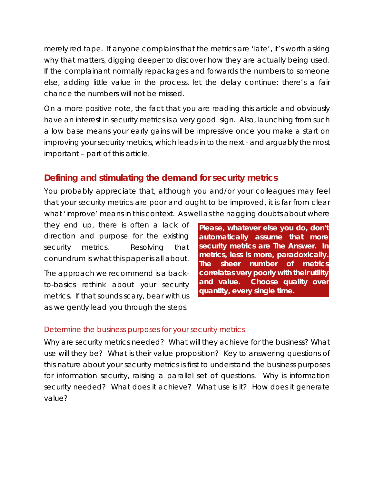merely red tape. If anyone complains that the metrics are 'late', it's worth asking why that matters, digging deeper to discover how they are actually being used. If the complainant normally repackages and forwards the numbers to someone else, adding little value in the process, let the delay continue: there's a fair chance the numbers will not be missed.

On a more positive note, the fact that you are reading this article and obviously have an interest in security metrics is a very good sign. Also, launching from such a low base means your early gains will be impressive once you make a start on improving your security metrics, which leads-in to the next - and arguably the most important – part of this article.

# **Defining and stimulating the demand for security metrics**

You probably appreciate that, although you and/or your colleagues may feel that your security metrics are poor and ought to be improved, it is far from clear what 'improve' means in this context. As well as the nagging doubts about where

they end up, there is often a lack of direction and purpose for the existing security metrics. Resolving that conundrum is what this paper is all about.

The approach we recommend is a backto-basics rethink about your security metrics. If that sounds scary, bear with us as we gently lead you through the steps.

*Please***, whatever else you do, don't automatically assume that more security metrics are The Answer. In metrics, less is more, paradoxically. The sheer number of metrics correlates very poorly with their utility and value. Choose quality over quantity, every single time.**

#### Determine the business purposes for your security metrics

Why are security metrics needed? What will they achieve for the business? What use will they be? What is their value proposition? Key to answering questions of this nature about your security metrics is first to understand the business purposes for information security, raising a parallel set of questions. Why is information security needed? What does it achieve? What use is it? How does it generate value?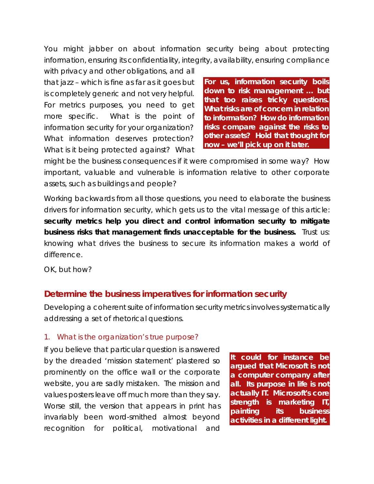You might jabber on about information security being about protecting information, ensuring its confidentiality, integrity, availability, ensuring compliance

with privacy and other obligations, and all that jazz – which is fine as far as it goes but is completely generic and not very helpful. For metrics purposes, you need to get more specific. What is the point of information security *for your organization*? What information deserves protection? What is it being protected against? What

**For us, information security boils down to risk management … but that too raises tricky questions. What risks are of concern in relation to information? How do information risks compare against the risks to other assets? Hold that thought for now – we'll pick up on it later.**

might be the business consequences if it were compromised in some way? How important, valuable and vulnerable is information relative to other corporate assets, such as buildings and people?

Working backwards from all those questions, you need to elaborate the business drivers for information security, which gets us to the vital message of this article: **security metrics help you direct and control information security to mitigate business risks that management finds unacceptable for the business.** Trust us: knowing what drives the business to secure its information makes a world of difference.

OK, but how?

#### **Determine the business imperatives for information security**

Developing a coherent suite of information security metrics involves systematically addressing a set of rhetorical questions.

#### 1. What is the organization's true purpose?

If you believe that particular question is answered by the dreaded 'mission statement' plastered so prominently on the office wall or the corporate website, you are sadly mistaken. The mission and values posters leave off much more than they say. Worse still, the version that appears in print has invariably been word-smithed almost beyond recognition for political, motivational and

**It could for instance be argued that Microsoft is not a computer company after all. Its purpose in life is not actually IT. Microsoft's core strength is** *marketing* **IT, painting its business activities in a different light.**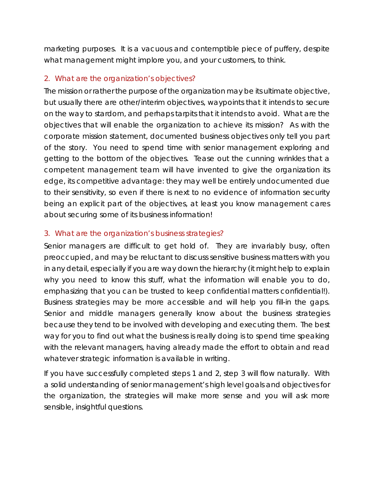marketing purposes. It is a vacuous and contemptible piece of puffery, despite what management might implore you, and your customers, to think.

#### 2. What are the organization's objectives?

The mission or rather the purpose of the organization may be its ultimate objective, but usually there are other/interim objectives, waypoints that it intends to secure on the way to stardom, and perhaps tarpits that it intends to avoid. What are the objectives that will enable the organization to achieve its mission? As with the corporate mission statement, documented business objectives only tell you part of the story. You need to spend time with senior management exploring and getting to the bottom of the objectives. Tease out the cunning wrinkles that a competent management team will have invented to give the organization its edge, its competitive advantage: they may well be entirely undocumented due to their sensitivity, so even if there is next to no evidence of information security being an explicit part of the objectives, at least you know management cares about securing some of its business information!

#### 3. What are the organization's business strategies?

Senior managers are difficult to get hold of. They are invariably busy, often preoccupied, and may be reluctant to discuss sensitive business matters with you in any detail, especially if you are way down the hierarchy (it might help to explain why you need to know this stuff, what the information will enable you to do, emphasizing that you can be trusted to keep confidential matters confidential!). Business strategies may be more accessible and will help you fill-in the gaps. Senior and middle managers generally know about the business strategies because they tend to be involved with developing and executing them. The best way for you to find out what the business is really doing is to spend time speaking with the relevant managers, having already made the effort to obtain and read whatever strategic information is available in writing.

If you have successfully completed steps 1 and 2, step 3 will flow naturally. With a solid understanding of senior management's high level goals and objectives for the organization, the strategies will make more sense and you will ask more sensible, insightful questions.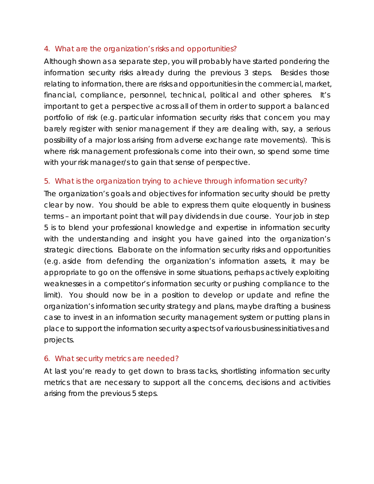#### 4. What are the organization's risks and opportunities?

Although shown as a separate step, you will probably have started pondering the information security risks already during the previous 3 steps. Besides those relating to information, there are risks and opportunities in the commercial, market, financial, compliance, personnel, technical, political and other spheres. It's important to get a perspective across all of them in order to support a balanced portfolio of risk (*e.g*. particular information security risks that concern you may barely register with senior management if they are dealing with, say, a serious possibility of a major loss arising from adverse exchange rate movements). This is where risk management professionals come into their own, so spend some time with your risk manager/s to gain that sense of perspective.

#### 5. What is the organization trying to achieve through information security?

The organization's goals and objectives for information security should be pretty clear by now. You should be able to express them quite eloquently *in business terms* – an important point that will pay dividends in due course. Your job in step 5 is to blend your professional knowledge and expertise in information security with the understanding and insight you have gained into the organization's strategic directions. Elaborate on the information security risks *and* opportunities (*e.g*. aside from defending the organization's information assets, it may be appropriate to go on the offensive in some situations, perhaps actively exploiting weaknesses in a competitor's information security or pushing compliance to the limit). You should now be in a position to develop or update and refine the organization's information security strategy and plans, maybe drafting a business case to invest in an information security management system or putting plans in place to support the information security aspects of various business initiatives and projects.

#### 6. What security metrics are needed?

At last you're ready to get down to brass tacks, shortlisting information security metrics that are necessary to support all the concerns, decisions and activities arising from the previous 5 steps.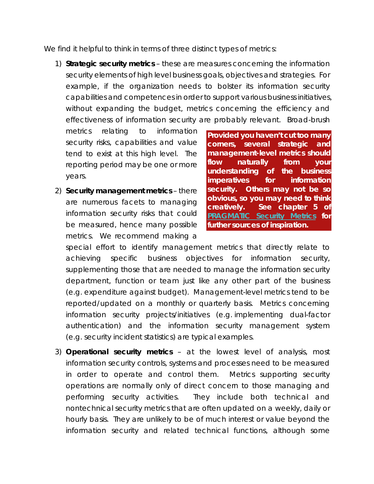We find it helpful to think in terms of three distinct types of metrics:

1) **Strategic security metrics** – these are measures concerning the information security elements of high level business goals, objectives and strategies. For example, if the organization needs to bolster its information security capabilities and competences in order to support various business initiatives, without expanding the budget, metrics concerning the efficiency and effectiveness of information security are probably relevant. Broad-brush

metrics relating to information security risks, capabilities and value tend to exist at this high level. The reporting period may be one or more years.

2) **Security management metrics** – there are numerous facets to managing information security risks that could be measured, hence many possible metrics. We recommend making a

**Provided you haven't cut too many corners, several strategic and management-level metrics should flow naturally from your understanding of the business imperatives for information security. Others may not be so obvious, so you may need to think creatively. See chapter 5 of [PRAGMATIC Security Metrics](http://www.securitymetametrics.com/) for further sources of inspiration.**

special effort to identify management metrics that directly relate to achieving specific business objectives for information security, supplementing those that are needed to manage the information security department, function or team just like any other part of the business (*e.g*. expenditure against budget). Management-level metrics tend to be reported/updated on a monthly or quarterly basis. Metrics concerning information security projects/initiatives (*e.g*. implementing dual-factor authentication) and the information security management system (*e.g*. security incident statistics) are typical examples.

3) **Operational security metrics** – at the lowest level of analysis, most information security controls, systems and processes need to be measured in order to operate and control them. Metrics supporting security operations are normally only of direct concern to those managing and performing security activities. They include both technical and nontechnical security metrics that are often updated on a weekly, daily or hourly basis. They are unlikely to be of much interest or value beyond the information security and related technical functions, although some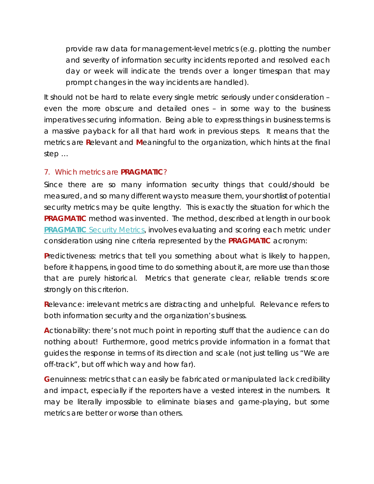provide raw data for management-level metrics (*e.g*. plotting the number and severity of information security incidents reported and resolved each day or week will indicate the trends over a longer timespan that may prompt changes in the way incidents are handled).

It should not be hard to relate every single metric seriously under consideration – even the more obscure and detailed ones – in some way to the business imperatives securing information. Being able to express things in business terms is a massive payback for all that hard work in previous steps. It means that the metrics are **R**elevant and **M**eaningful to the organization, which hints at the final step …

#### 7. Which metrics are **PRAGMATIC**?

Since there are so many information security things that could/should be measured, and so many different ways to measure them, your shortlist of potential security metrics may be quite lengthy. This is exactly the situation for which the **PRAGMATIC** method was invented. The method, described at length in our book **PRAGMATIC** [Security Metrics,](http://www.securitymetametrics.com/) involves evaluating and scoring each metric under consideration using nine criteria represented by the **PRAGMATIC** acronym:

**Predictiveness: metrics that tell you something about what is likely to happen,** *before* it happens, in good time to do something about it, are more use than those that are purely historical. Metrics that generate clear, reliable trends score strongly on this criterion.

**R**elevance: irrelevant metrics are distracting and unhelpful. Relevance refers to *both* information security *and* the organization's business.

**A**ctionability: there's not much point in reporting stuff that the audience can do nothing about! Furthermore, good metrics provide information in a format that guides the response in terms of its direction *and* scale (not just telling us "We are off-track", but off which way and how far).

**G**enuinness: metrics that can easily be fabricated or manipulated lack credibility and impact, especially if the reporters have a vested interest in the numbers. It may be literally impossible to eliminate biases and game-playing, but some metrics are better or worse than others.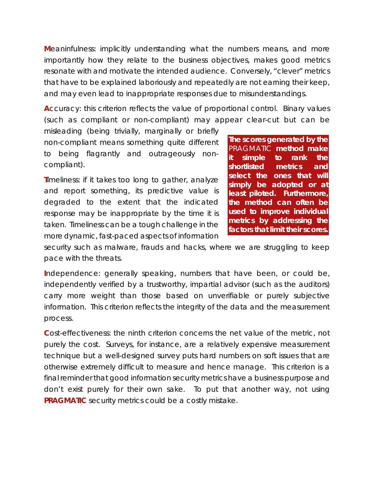**M**eaninfulness: implicitly understanding what the numbers means, and more importantly how they relate to the business objectives, makes good metrics resonate with and motivate the intended audience. Conversely, "clever" metrics that have to be explained laboriously and repeatedly are not earning their keep, and may even lead to inappropriate responses due to misunderstandings.

**A**ccuracy: this criterion reflects the value of proportional control. Binary values (such as compliant or non-compliant) may appear clear-cut but can be

misleading (being trivially, marginally or briefly non-compliant means something quite different to being flagrantly and outrageously noncompliant).

**Timeliness: if it takes too long to gather, analyze** and report something, its predictive value is degraded to the extent that the indicated response may be inappropriate by the time it is taken. Timeliness can be a tough challenge in the more dynamic, fast-paced aspects of information

**The scores generated by the**  PRAGMATIC **method make it simple to rank the shortlisted metrics and select the ones that will simply be adopted or at least piloted. Furthermore, the method can often be used to improve individual metrics by addressing the factors that limit their scores.** 

security such as malware, frauds and hacks, where we are struggling to keep pace with the threats.

**I**ndependence: generally speaking, numbers that have been, or could be, independently verified by a trustworthy, impartial advisor (such as the auditors) carry more weight than those based on unverifiable or purely subjective information. This criterion reflects the integrity of the data and the measurement process.

**C**ost-effectiveness: the ninth criterion concerns the net value of the metric, not purely the cost. Surveys, for instance, are a relatively expensive measurement technique but a well-designed survey puts hard numbers on soft issues that are otherwise extremely difficult to measure and hence manage. This criterion is a final reminder that good information security metrics have a business purpose and don't exist purely for their own sake. To put that another way, *not* using **PRAGMATIC** security metrics could be a costly mistake.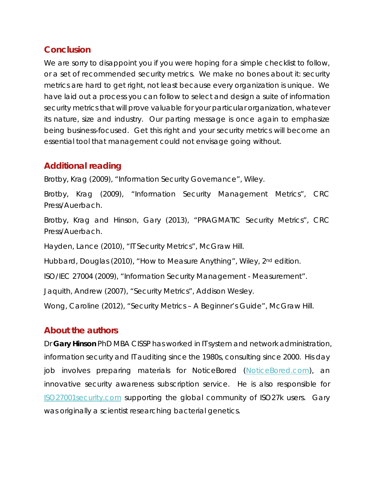## **Conclusion**

We are sorry to disappoint you if you were hoping for a simple checklist to follow, or a set of recommended security metrics. We make no bones about it: security metrics are hard to get right, not least because every organization is unique. We have laid out a process you can follow to select and design a suite of information security metrics that will prove valuable for your particular organization, whatever its nature, size and industry. Our parting message is once again to emphasize being business-focused. Get this right and your security metrics will become an essential tool that management could not envisage going without.

# **Additional reading**

Brotby, Krag (2009), "Information Security Governance", Wiley.

Brotby, Krag (2009), "Information Security Management Metrics", CRC Press/Auerbach.

Brotby, Krag and Hinson, Gary (2013), "PRAGMATIC Security Metrics", CRC Press/Auerbach.

Hayden, Lance (2010), "IT Security Metrics", McGraw Hill.

Hubbard, Douglas (2010), "How to Measure Anything", Wiley, 2<sup>nd</sup> edition.

ISO/IEC 27004 (2009), "Information Security Management - Measurement".

Jaquith, Andrew (2007), "Security Metrics", Addison Wesley.

Wong, Caroline (2012), "Security Metrics - A Beginner's Guide", McGraw Hill.

#### **About the authors**

Dr **Gary Hinson** PhD MBA CISSP has worked in IT system and network administration, information security and IT auditing since the 1980s, consulting since 2000. His day job involves preparing materials for NoticeBored [\(NoticeBored.com\)](http://www.noticebored.com/), an innovative security awareness subscription service. He is also responsible for [ISO27001security.com](http://www.iso27001security.com/) supporting the global community of ISO27k users. Gary was originally a scientist researching bacterial genetics.